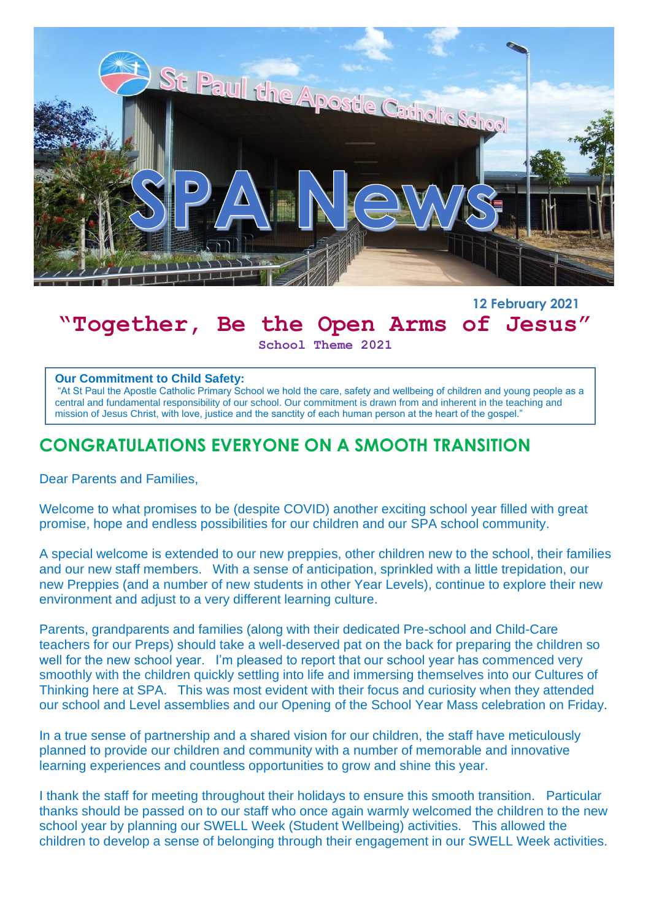

## **12 February 2021 "Together, Be the Open Arms of Jesus"**

**School Theme 2021**

#### **Our Commitment to Child Safety:**

"At St Paul the Apostle Catholic Primary School we hold the care, safety and wellbeing of children and young people as a central and fundamental responsibility of our school. Our commitment is drawn from and inherent in the teaching and mission of Jesus Christ, with love, justice and the sanctity of each human person at the heart of the gospel."

# **CONGRATULATIONS EVERYONE ON A SMOOTH TRANSITION**

Dear Parents and Families,

Welcome to what promises to be (despite COVID) another exciting school year filled with great promise, hope and endless possibilities for our children and our SPA school community.

A special welcome is extended to our new preppies, other children new to the school, their families and our new staff members. With a sense of anticipation, sprinkled with a little trepidation, our new Preppies (and a number of new students in other Year Levels), continue to explore their new environment and adjust to a very different learning culture.

Parents, grandparents and families (along with their dedicated Pre-school and Child-Care teachers for our Preps) should take a well-deserved pat on the back for preparing the children so well for the new school year. I'm pleased to report that our school year has commenced very smoothly with the children quickly settling into life and immersing themselves into our Cultures of Thinking here at SPA. This was most evident with their focus and curiosity when they attended our school and Level assemblies and our Opening of the School Year Mass celebration on Friday.

In a true sense of partnership and a shared vision for our children, the staff have meticulously planned to provide our children and community with a number of memorable and innovative learning experiences and countless opportunities to grow and shine this year.

I thank the staff for meeting throughout their holidays to ensure this smooth transition. Particular thanks should be passed on to our staff who once again warmly welcomed the children to the new school year by planning our SWELL Week (Student Wellbeing) activities. This allowed the children to develop a sense of belonging through their engagement in our SWELL Week activities.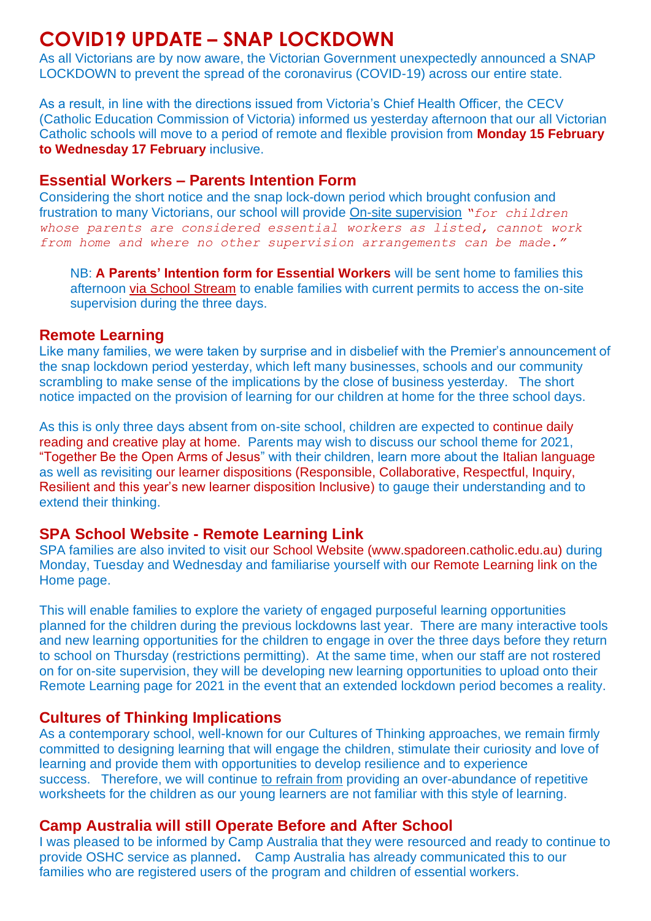# **COVID19 UPDATE – SNAP LOCKDOWN**

As all Victorians are by now aware, the Victorian Government unexpectedly announced a SNAP LOCKDOWN to prevent the spread of the coronavirus (COVID-19) across our entire state.

As a result, in line with the directions issued from Victoria's Chief Health Officer, the CECV (Catholic Education Commission of Victoria) informed us yesterday afternoon that our all Victorian Catholic schools will move to a period of remote and flexible provision from **Monday 15 February to Wednesday 17 February** inclusive.

### **Essential Workers – Parents Intention Form**

Considering the short notice and the snap lock-down period which brought confusion and frustration to many Victorians, our school will provide On-site supervision *"for children whose parents are considered essential workers as listed, cannot work from home and where no other supervision arrangements can be made."*

NB: **A Parents' Intention form for Essential Workers** will be sent home to families this afternoon via School Stream to enable families with current permits to access the on-site supervision during the three days.

### **Remote Learning**

Like many families, we were taken by surprise and in disbelief with the Premier's announcement of the snap lockdown period yesterday, which left many businesses, schools and our community scrambling to make sense of the implications by the close of business yesterday. The short notice impacted on the provision of learning for our children at home for the three school days.

As this is only three days absent from on-site school, children are expected to continue daily reading and creative play at home. Parents may wish to discuss our school theme for 2021, "Together Be the Open Arms of Jesus" with their children, learn more about the Italian language as well as revisiting our learner dispositions (Responsible, Collaborative, Respectful, Inquiry, Resilient and this year's new learner disposition Inclusive) to gauge their understanding and to extend their thinking.

### **SPA School Website - Remote Learning Link**

SPA families are also invited to visit our School Website (www.spadoreen.catholic.edu.au) during Monday, Tuesday and Wednesday and familiarise yourself with our Remote Learning link on the Home page.

This will enable families to explore the variety of engaged purposeful learning opportunities planned for the children during the previous lockdowns last year. There are many interactive tools and new learning opportunities for the children to engage in over the three days before they return to school on Thursday (restrictions permitting). At the same time, when our staff are not rostered on for on-site supervision, they will be developing new learning opportunities to upload onto their Remote Learning page for 2021 in the event that an extended lockdown period becomes a reality.

### **Cultures of Thinking Implications**

As a contemporary school, well-known for our Cultures of Thinking approaches, we remain firmly committed to designing learning that will engage the children, stimulate their curiosity and love of learning and provide them with opportunities to develop resilience and to experience success. Therefore, we will continue to refrain from providing an over-abundance of repetitive worksheets for the children as our young learners are not familiar with this style of learning.

### **Camp Australia will still Operate Before and After School**

I was pleased to be informed by Camp Australia that they were resourced and ready to continue to provide OSHC service as planned**.** Camp Australia has already communicated this to our families who are registered users of the program and children of essential workers.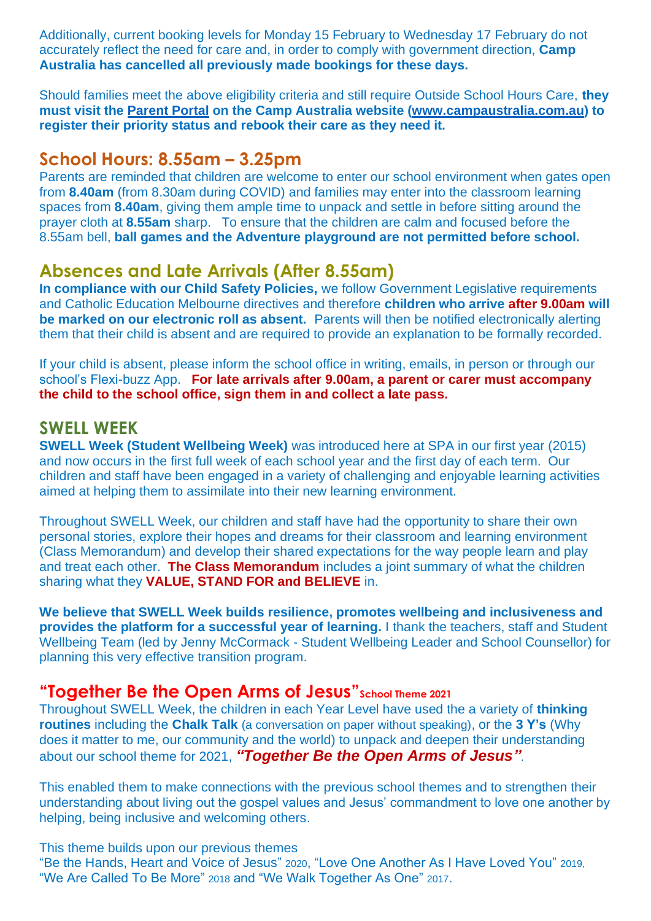Additionally, current booking levels for Monday 15 February to Wednesday 17 February do not accurately reflect the need for care and, in order to comply with government direction, **Camp Australia has cancelled all previously made bookings for these days.**

Should families meet the above eligibility criteria and still require Outside School Hours Care, **they must visit the [Parent Portal](https://link.campaustralia.com.au/l/?id=240008A2D8E0F2EF8D24357ABCE8849EF6&h=E9B03&tid=73cb3db9-baa0-4146-a516-9d438a950629) on the Camp Australia website [\(www.campaustralia.com.au\)](http://www.campaustralia.com.au/) to register their priority status and rebook their care as they need it.**

## **School Hours: 8.55am – 3.25pm**

Parents are reminded that children are welcome to enter our school environment when gates open from **8.40am** (from 8.30am during COVID) and families may enter into the classroom learning spaces from **8.40am**, giving them ample time to unpack and settle in before sitting around the prayer cloth at **8.55am** sharp. To ensure that the children are calm and focused before the 8.55am bell, **ball games and the Adventure playground are not permitted before school.**

## **Absences and Late Arrivals (After 8.55am)**

**In compliance with our Child Safety Policies,** we follow Government Legislative requirements and Catholic Education Melbourne directives and therefore **children who arrive after 9.00am will be marked on our electronic roll as absent.** Parents will then be notified electronically alerting them that their child is absent and are required to provide an explanation to be formally recorded.

If your child is absent, please inform the school office in writing, emails, in person or through our school's Flexi-buzz App. **For late arrivals after 9.00am, a parent or carer must accompany the child to the school office, sign them in and collect a late pass.**

## **SWELL WEEK**

**SWELL Week (Student Wellbeing Week)** was introduced here at SPA in our first year (2015) and now occurs in the first full week of each school year and the first day of each term. Our children and staff have been engaged in a variety of challenging and enjoyable learning activities aimed at helping them to assimilate into their new learning environment.

Throughout SWELL Week, our children and staff have had the opportunity to share their own personal stories, explore their hopes and dreams for their classroom and learning environment (Class Memorandum) and develop their shared expectations for the way people learn and play and treat each other. **The Class Memorandum** includes a joint summary of what the children sharing what they **VALUE, STAND FOR and BELIEVE** in.

**We believe that SWELL Week builds resilience, promotes wellbeing and inclusiveness and provides the platform for a successful year of learning.** I thank the teachers, staff and Student Wellbeing Team (led by Jenny McCormack - Student Wellbeing Leader and School Counsellor) for planning this very effective transition program.

## **"Together Be the Open Arms of Jesus"School Theme 2021**

Throughout SWELL Week, the children in each Year Level have used the a variety of **thinking routines** including the **Chalk Talk** (a conversation on paper without speaking), or the **3 Y's** (Why does it matter to me, our community and the world) to unpack and deepen their understanding about our school theme for 2021, *"Together Be the Open Arms of Jesus"*.

This enabled them to make connections with the previous school themes and to strengthen their understanding about living out the gospel values and Jesus' commandment to love one another by helping, being inclusive and welcoming others.

This theme builds upon our previous themes "Be the Hands, Heart and Voice of Jesus" 2020, "Love One Another As I Have Loved You" 2019, "We Are Called To Be More" 2018 and "We Walk Together As One" 2017.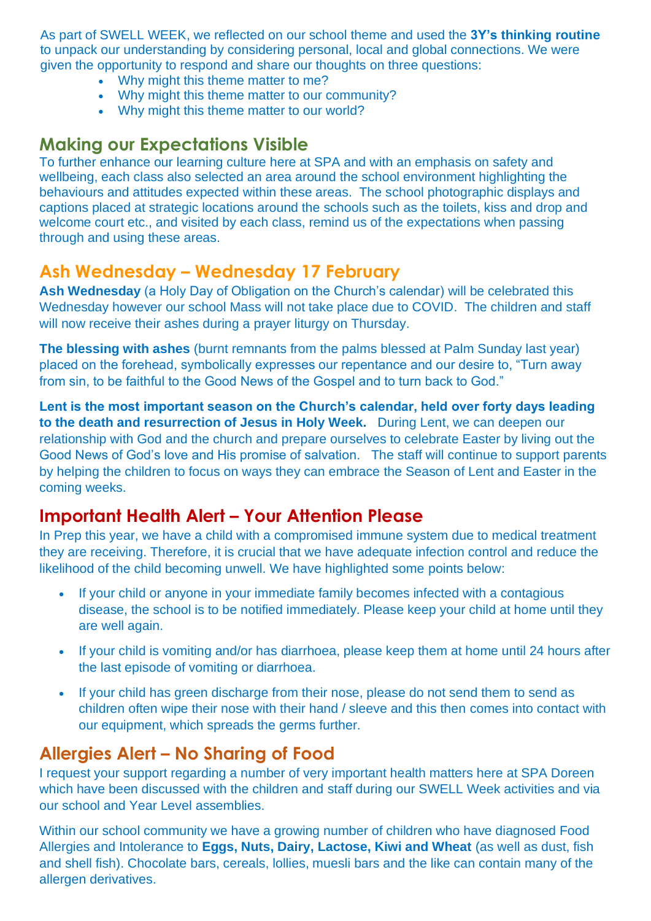As part of SWELL WEEK, we reflected on our school theme and used the **3Y's thinking routine** to unpack our understanding by considering personal, local and global connections. We were given the opportunity to respond and share our thoughts on three questions:

- Why might this theme matter to me?
- Why might this theme matter to our community?
- Why might this theme matter to our world?

## **Making our Expectations Visible**

To further enhance our learning culture here at SPA and with an emphasis on safety and wellbeing, each class also selected an area around the school environment highlighting the behaviours and attitudes expected within these areas. The school photographic displays and captions placed at strategic locations around the schools such as the toilets, kiss and drop and welcome court etc., and visited by each class, remind us of the expectations when passing through and using these areas.

# **Ash Wednesday – Wednesday 17 February**

**Ash Wednesday** (a Holy Day of Obligation on the Church's calendar) will be celebrated this Wednesday however our school Mass will not take place due to COVID. The children and staff will now receive their ashes during a prayer liturgy on Thursday.

**The blessing with ashes** (burnt remnants from the palms blessed at Palm Sunday last year) placed on the forehead, symbolically expresses our repentance and our desire to, "Turn away from sin, to be faithful to the Good News of the Gospel and to turn back to God."

**Lent is the most important season on the Church's calendar, held over forty days leading to the death and resurrection of Jesus in Holy Week.** During Lent, we can deepen our relationship with God and the church and prepare ourselves to celebrate Easter by living out the Good News of God's love and His promise of salvation. The staff will continue to support parents by helping the children to focus on ways they can embrace the Season of Lent and Easter in the coming weeks.

# **Important Health Alert – Your Attention Please**

In Prep this year, we have a child with a compromised immune system due to medical treatment they are receiving. Therefore, it is crucial that we have adequate infection control and reduce the likelihood of the child becoming unwell. We have highlighted some points below:

- If your child or anyone in your immediate family becomes infected with a contagious disease, the school is to be notified immediately. Please keep your child at home until they are well again.
- If your child is vomiting and/or has diarrhoea, please keep them at home until 24 hours after the last episode of vomiting or diarrhoea.
- If your child has green discharge from their nose, please do not send them to send as children often wipe their nose with their hand / sleeve and this then comes into contact with our equipment, which spreads the germs further.

# **Allergies Alert – No Sharing of Food**

I request your support regarding a number of very important health matters here at SPA Doreen which have been discussed with the children and staff during our SWELL Week activities and via our school and Year Level assemblies.

Within our school community we have a growing number of children who have diagnosed Food Allergies and Intolerance to **Eggs, Nuts, Dairy, Lactose, Kiwi and Wheat** (as well as dust, fish and shell fish). Chocolate bars, cereals, lollies, muesli bars and the like can contain many of the allergen derivatives.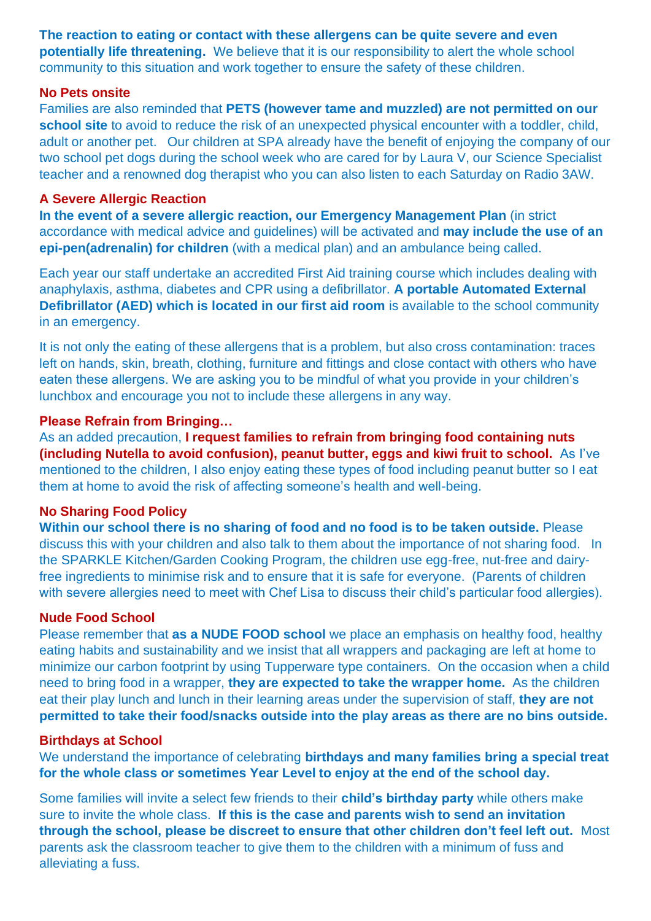**The reaction to eating or contact with these allergens can be quite severe and even potentially life threatening.** We believe that it is our responsibility to alert the whole school community to this situation and work together to ensure the safety of these children.

#### **No Pets onsite**

Families are also reminded that **PETS (however tame and muzzled) are not permitted on our school site** to avoid to reduce the risk of an unexpected physical encounter with a toddler, child, adult or another pet. Our children at SPA already have the benefit of enjoying the company of our two school pet dogs during the school week who are cared for by Laura V, our Science Specialist teacher and a renowned dog therapist who you can also listen to each Saturday on Radio 3AW.

#### **A Severe Allergic Reaction**

**In the event of a severe allergic reaction, our Emergency Management Plan** (in strict accordance with medical advice and guidelines) will be activated and **may include the use of an epi-pen(adrenalin) for children** (with a medical plan) and an ambulance being called.

Each year our staff undertake an accredited First Aid training course which includes dealing with anaphylaxis, asthma, diabetes and CPR using a defibrillator. **A portable Automated External Defibrillator (AED) which is located in our first aid room** is available to the school community in an emergency.

It is not only the eating of these allergens that is a problem, but also cross contamination: traces left on hands, skin, breath, clothing, furniture and fittings and close contact with others who have eaten these allergens. We are asking you to be mindful of what you provide in your children's lunchbox and encourage you not to include these allergens in any way.

#### **Please Refrain from Bringing…**

As an added precaution, **I request families to refrain from bringing food containing nuts (including Nutella to avoid confusion), peanut butter, eggs and kiwi fruit to school.** As I've mentioned to the children, I also enjoy eating these types of food including peanut butter so I eat them at home to avoid the risk of affecting someone's health and well-being.

### **No Sharing Food Policy**

**Within our school there is no sharing of food and no food is to be taken outside.** Please discuss this with your children and also talk to them about the importance of not sharing food. In the SPARKLE Kitchen/Garden Cooking Program, the children use egg-free, nut-free and dairyfree ingredients to minimise risk and to ensure that it is safe for everyone. (Parents of children with severe allergies need to meet with Chef Lisa to discuss their child's particular food allergies).

#### **Nude Food School**

Please remember that **as a NUDE FOOD school** we place an emphasis on healthy food, healthy eating habits and sustainability and we insist that all wrappers and packaging are left at home to minimize our carbon footprint by using Tupperware type containers. On the occasion when a child need to bring food in a wrapper, **they are expected to take the wrapper home.** As the children eat their play lunch and lunch in their learning areas under the supervision of staff, **they are not permitted to take their food/snacks outside into the play areas as there are no bins outside.**

#### **Birthdays at School**

We understand the importance of celebrating **birthdays and many families bring a special treat for the whole class or sometimes Year Level to enjoy at the end of the school day.** 

Some families will invite a select few friends to their **child's birthday party** while others make sure to invite the whole class. **If this is the case and parents wish to send an invitation through the school, please be discreet to ensure that other children don't feel left out.** Most parents ask the classroom teacher to give them to the children with a minimum of fuss and alleviating a fuss.